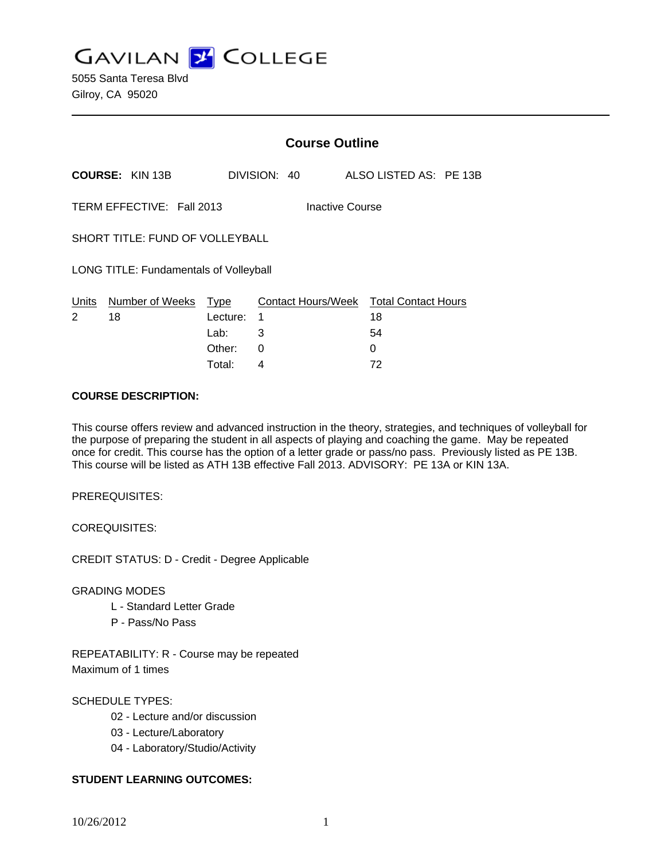**GAVILAN J COLLEGE** 

|                                              |                        | <b>Course Outline</b>           |                              |  |  |  |                                        |  |                        |
|----------------------------------------------|------------------------|---------------------------------|------------------------------|--|--|--|----------------------------------------|--|------------------------|
|                                              | <b>COURSE: KIN 13B</b> |                                 | DIVISION: 40                 |  |  |  |                                        |  | ALSO LISTED AS: PE 13B |
| TERM EFFECTIVE: Fall 2013<br>Inactive Course |                        |                                 |                              |  |  |  |                                        |  |                        |
| SHORT TITLE: FUND OF VOLLEYBALL              |                        |                                 |                              |  |  |  |                                        |  |                        |
| LONG TITLE: Fundamentals of Volleyball       |                        |                                 |                              |  |  |  |                                        |  |                        |
| Units<br>2                                   | Number of Weeks<br>18  | <b>Type</b><br>Lecture:<br>Lab: | Contact Hours/Week<br>1<br>3 |  |  |  | <b>Total Contact Hours</b><br>18<br>54 |  |                        |
|                                              |                        | Other:                          | 0                            |  |  |  | 0                                      |  |                        |

Total: 4 72

### **COURSE DESCRIPTION:**

This course offers review and advanced instruction in the theory, strategies, and techniques of volleyball for the purpose of preparing the student in all aspects of playing and coaching the game. May be repeated once for credit. This course has the option of a letter grade or pass/no pass. Previously listed as PE 13B. This course will be listed as ATH 13B effective Fall 2013. ADVISORY: PE 13A or KIN 13A.

PREREQUISITES:

COREQUISITES:

CREDIT STATUS: D - Credit - Degree Applicable

GRADING MODES

- L Standard Letter Grade
- P Pass/No Pass

REPEATABILITY: R - Course may be repeated Maximum of 1 times

## SCHEDULE TYPES:

- 02 Lecture and/or discussion
- 03 Lecture/Laboratory
- 04 Laboratory/Studio/Activity

## **STUDENT LEARNING OUTCOMES:**

10/26/2012 1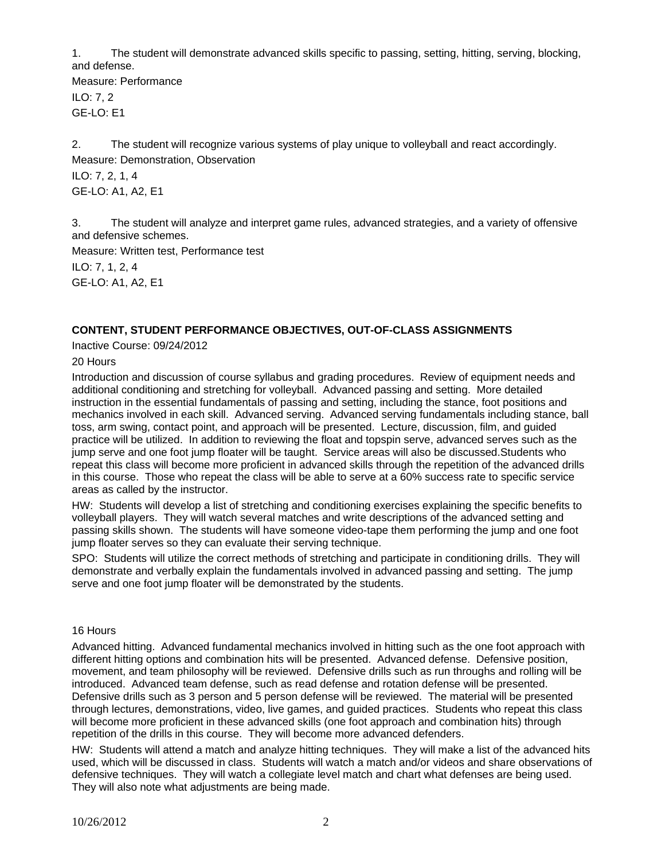1. The student will demonstrate advanced skills specific to passing, setting, hitting, serving, blocking, and defense.

Measure: Performance ILO: 7, 2 GE-LO: E1

2. The student will recognize various systems of play unique to volleyball and react accordingly. Measure: Demonstration, Observation

ILO: 7, 2, 1, 4 GE-LO: A1, A2, E1

3. The student will analyze and interpret game rules, advanced strategies, and a variety of offensive and defensive schemes.

Measure: Written test, Performance test

ILO: 7, 1, 2, 4 GE-LO: A1, A2, E1

# **CONTENT, STUDENT PERFORMANCE OBJECTIVES, OUT-OF-CLASS ASSIGNMENTS**

Inactive Course: 09/24/2012

20 Hours

Introduction and discussion of course syllabus and grading procedures. Review of equipment needs and additional conditioning and stretching for volleyball. Advanced passing and setting. More detailed instruction in the essential fundamentals of passing and setting, including the stance, foot positions and mechanics involved in each skill. Advanced serving. Advanced serving fundamentals including stance, ball toss, arm swing, contact point, and approach will be presented. Lecture, discussion, film, and guided practice will be utilized. In addition to reviewing the float and topspin serve, advanced serves such as the jump serve and one foot jump floater will be taught. Service areas will also be discussed.Students who repeat this class will become more proficient in advanced skills through the repetition of the advanced drills in this course. Those who repeat the class will be able to serve at a 60% success rate to specific service areas as called by the instructor.

HW: Students will develop a list of stretching and conditioning exercises explaining the specific benefits to volleyball players. They will watch several matches and write descriptions of the advanced setting and passing skills shown. The students will have someone video-tape them performing the jump and one foot jump floater serves so they can evaluate their serving technique.

SPO: Students will utilize the correct methods of stretching and participate in conditioning drills. They will demonstrate and verbally explain the fundamentals involved in advanced passing and setting. The jump serve and one foot jump floater will be demonstrated by the students.

## 16 Hours

Advanced hitting. Advanced fundamental mechanics involved in hitting such as the one foot approach with different hitting options and combination hits will be presented. Advanced defense. Defensive position, movement, and team philosophy will be reviewed. Defensive drills such as run throughs and rolling will be introduced. Advanced team defense, such as read defense and rotation defense will be presented. Defensive drills such as 3 person and 5 person defense will be reviewed. The material will be presented through lectures, demonstrations, video, live games, and guided practices. Students who repeat this class will become more proficient in these advanced skills (one foot approach and combination hits) through repetition of the drills in this course. They will become more advanced defenders.

HW: Students will attend a match and analyze hitting techniques. They will make a list of the advanced hits used, which will be discussed in class. Students will watch a match and/or videos and share observations of defensive techniques. They will watch a collegiate level match and chart what defenses are being used. They will also note what adjustments are being made.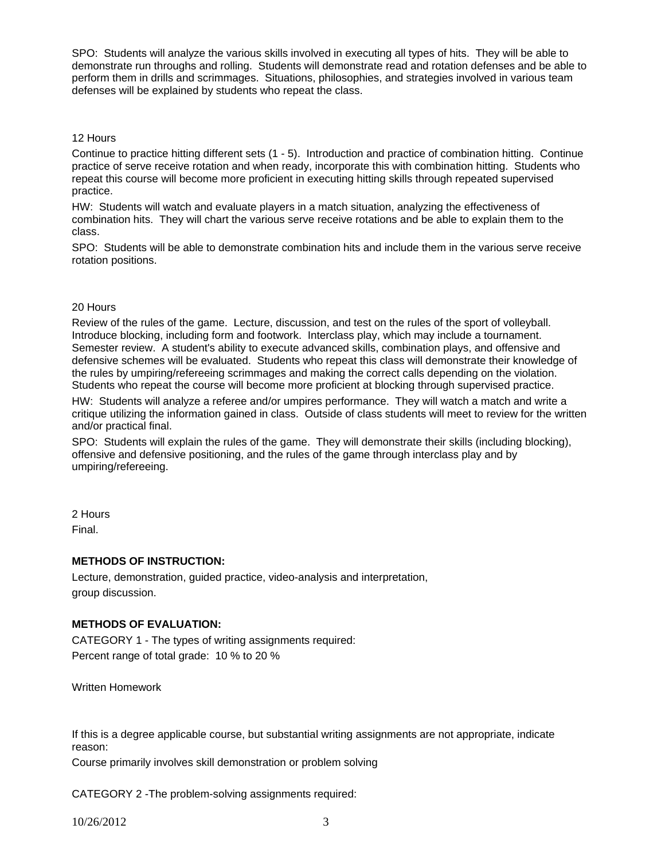SPO: Students will analyze the various skills involved in executing all types of hits. They will be able to demonstrate run throughs and rolling. Students will demonstrate read and rotation defenses and be able to perform them in drills and scrimmages. Situations, philosophies, and strategies involved in various team defenses will be explained by students who repeat the class.

### 12 Hours

Continue to practice hitting different sets (1 - 5). Introduction and practice of combination hitting. Continue practice of serve receive rotation and when ready, incorporate this with combination hitting. Students who repeat this course will become more proficient in executing hitting skills through repeated supervised practice.

HW: Students will watch and evaluate players in a match situation, analyzing the effectiveness of combination hits. They will chart the various serve receive rotations and be able to explain them to the class.

SPO: Students will be able to demonstrate combination hits and include them in the various serve receive rotation positions.

### 20 Hours

Review of the rules of the game. Lecture, discussion, and test on the rules of the sport of volleyball. Introduce blocking, including form and footwork. Interclass play, which may include a tournament. Semester review. A student's ability to execute advanced skills, combination plays, and offensive and defensive schemes will be evaluated. Students who repeat this class will demonstrate their knowledge of the rules by umpiring/refereeing scrimmages and making the correct calls depending on the violation. Students who repeat the course will become more proficient at blocking through supervised practice.

HW: Students will analyze a referee and/or umpires performance. They will watch a match and write a critique utilizing the information gained in class. Outside of class students will meet to review for the written and/or practical final.

SPO: Students will explain the rules of the game. They will demonstrate their skills (including blocking), offensive and defensive positioning, and the rules of the game through interclass play and by umpiring/refereeing.

# 2 Hours

Final.

## **METHODS OF INSTRUCTION:**

Lecture, demonstration, guided practice, video-analysis and interpretation, group discussion.

## **METHODS OF EVALUATION:**

CATEGORY 1 - The types of writing assignments required: Percent range of total grade: 10 % to 20 %

Written Homework

If this is a degree applicable course, but substantial writing assignments are not appropriate, indicate reason:

Course primarily involves skill demonstration or problem solving

CATEGORY 2 -The problem-solving assignments required: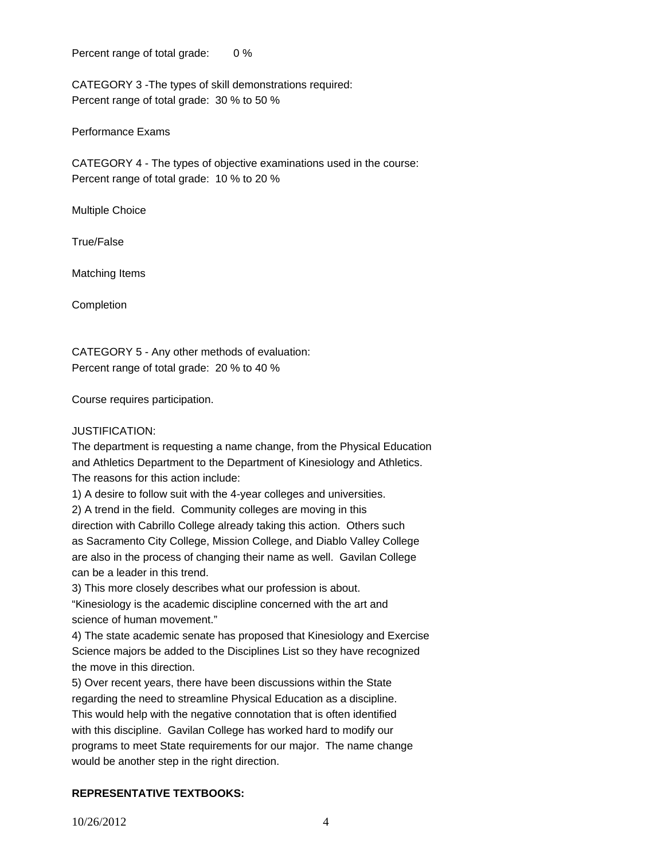Percent range of total grade: 0 %

CATEGORY 3 -The types of skill demonstrations required: Percent range of total grade: 30 % to 50 %

Performance Exams

CATEGORY 4 - The types of objective examinations used in the course: Percent range of total grade: 10 % to 20 %

Multiple Choice

True/False

Matching Items

Completion

CATEGORY 5 - Any other methods of evaluation: Percent range of total grade: 20 % to 40 %

Course requires participation.

JUSTIFICATION:

The department is requesting a name change, from the Physical Education and Athletics Department to the Department of Kinesiology and Athletics. The reasons for this action include:

1) A desire to follow suit with the 4-year colleges and universities.

2) A trend in the field. Community colleges are moving in this direction with Cabrillo College already taking this action. Others such as Sacramento City College, Mission College, and Diablo Valley College are also in the process of changing their name as well. Gavilan College can be a leader in this trend.

3) This more closely describes what our profession is about.

"Kinesiology is the academic discipline concerned with the art and science of human movement."

4) The state academic senate has proposed that Kinesiology and Exercise Science majors be added to the Disciplines List so they have recognized the move in this direction.

5) Over recent years, there have been discussions within the State regarding the need to streamline Physical Education as a discipline. This would help with the negative connotation that is often identified with this discipline. Gavilan College has worked hard to modify our programs to meet State requirements for our major. The name change would be another step in the right direction.

# **REPRESENTATIVE TEXTBOOKS:**